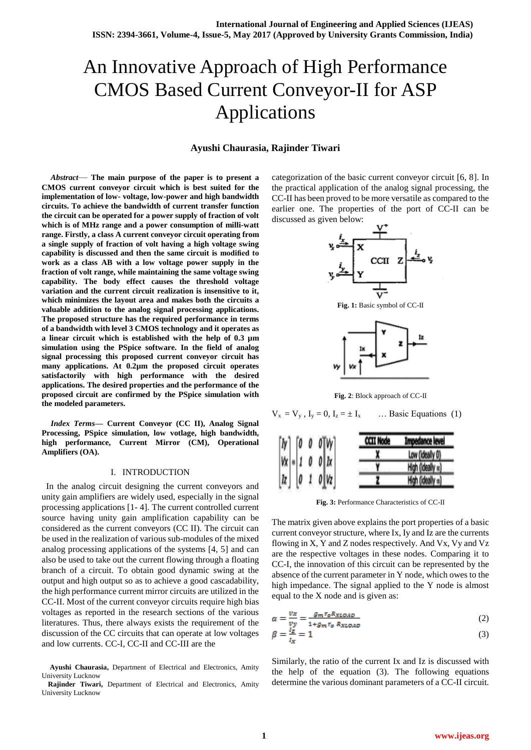# An Innovative Approach of High Performance CMOS Based Current Conveyor-II for ASP Applications

## **Ayushi Chaurasia, Rajinder Tiwari**

*Abstract*— **The main purpose of the paper is to present a CMOS current conveyor circuit which is best suited for the implementation of low- voltage, low-power and high bandwidth circuits. To achieve the bandwidth of current transfer function the circuit can be operated for a power supply of fraction of volt which is of MHz range and a power consumption of milli-watt range. Firstly, a class A current conveyor circuit operating from a single supply of fraction of volt having a high voltage swing capability is discussed and then the same circuit is modified to work as a class AB with a low voltage power supply in the fraction of volt range, while maintaining the same voltage swing capability. The body effect causes the threshold voltage variation and the current circuit realization is insensitive to it, which minimizes the layout area and makes both the circuits a valuable addition to the analog signal processing applications. The proposed structure has the required performance in terms of a bandwidth with level 3 CMOS technology and it operates as a linear circuit which is established with the help of 0.3 µm simulation using the PSpice software. In the field of analog signal processing this proposed current conveyor circuit has many applications. At 0.2µm the proposed circuit operates satisfactorily with high performance with the desired applications. The desired properties and the performance of the proposed circuit are confirmed by the PSpice simulation with the modeled parameters.**

*Index Terms***— Current Conveyor (CC II), Analog Signal Processing, PSpice simulation, low votlage, high bandwidth, high performance, Current Mirror (CM), Operational Amplifiers (OA).**

# I. INTRODUCTION

 In the analog circuit designing the current conveyors and unity gain amplifiers are widely used, especially in the signal processing applications [1- 4]. The current controlled current source having unity gain amplification capability can be considered as the current conveyors (CC II). The circuit can be used in the realization of various sub-modules of the mixed analog processing applications of the systems [4, 5] and can also be used to take out the current flowing through a floating branch of a circuit. To obtain good dynamic swing at the output and high output so as to achieve a good cascadability, the high performance current mirror circuits are utilized in the CC-II. Most of the current conveyor circuits require high bias voltages as reported in the research sections of the various literatures. Thus, there always exists the requirement of the discussion of the CC circuits that can operate at low voltages and low currents. CC-I, CC-II and CC-III are the

categorization of the basic current conveyor circuit [6, 8]. In the practical application of the analog signal processing, the CC-II has been proved to be more versatile as compared to the earlier one. The properties of the port of CC-II can be discussed as given below:



**Fig. 1:** Basic symbol of CC-II



**Fig. 2**: Block approach of CC-II

$$
V_x = V_y
$$
,  $I_y = 0$ ,  $I_z = \pm I_x$  ... Basic Equations (1)

| <b>Impedance level</b> | <b>CCII Node</b> |                                                                                                                                                                 |  |  |  |
|------------------------|------------------|-----------------------------------------------------------------------------------------------------------------------------------------------------------------|--|--|--|
| Low (ideally 0)        |                  |                                                                                                                                                                 |  |  |  |
| High (ideally w)       |                  |                                                                                                                                                                 |  |  |  |
| High (ideally =)       |                  |                                                                                                                                                                 |  |  |  |
|                        |                  | $\begin{bmatrix} Iy \\ Vx \\ Iz \end{bmatrix} = \begin{bmatrix} 0 & 0 & 0 \\ 1 & 0 & 0 \\ 0 & 1 & 0 \end{bmatrix} \begin{bmatrix} Vy \\ Ix \\ Vz \end{bmatrix}$ |  |  |  |

**Fig. 3:** Performance Characteristics of CC-II

The matrix given above explains the port properties of a basic current conveyor structure, where Ix, Iy and Iz are the currents flowing in X, Y and Z nodes respectively. And Vx, Vy and Vz are the respective voltages in these nodes. Comparing it to CC-I, the innovation of this circuit can be represented by the absence of the current parameter in Y node, which owes to the high impedance. The signal applied to the Y node is almost equal to the X node and is given as:

(2)

$$
\beta = \frac{V_Z}{I_w} = 1
$$
\n(3)

Similarly, the ratio of the current Ix and Iz is discussed with the help of the equation (3). The following equations determine the various dominant parameters of a CC-II circuit.

**Ayushi Chaurasia,** Department of Electrical and Electronics, Amity University Lucknow

**Rajinder Tiwari,** Department of Electrical and Electronics, Amity University Lucknow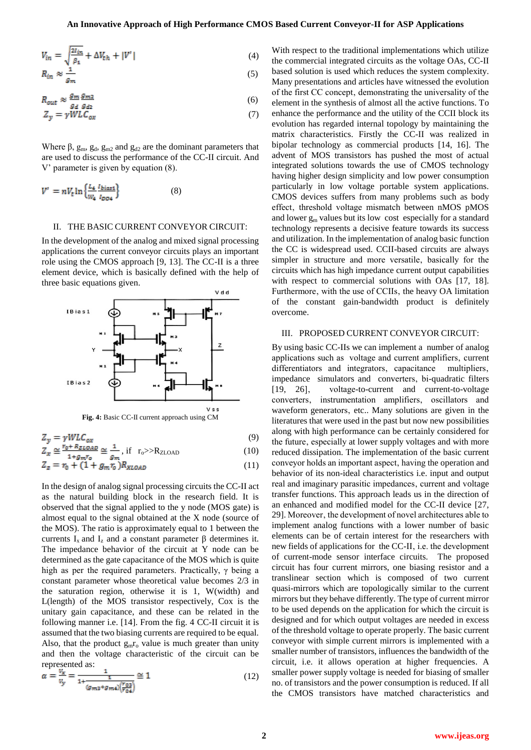$$
V_{in} = \sqrt{\frac{2I_{in}}{p_1} + \Delta V_{th} + |V'|}
$$
 (4)

$$
R_{in} \approx \frac{1}{g_m} \tag{5}
$$

$$
R_{out} \approx \frac{g_m}{g_d} \frac{g_{m2}}{g_{d2}} \tag{6}
$$

$$
Z_y = \gamma W L C_{ox} \tag{7}
$$

Where  $\beta$ ,  $g_m$ ,  $g_d$ ,  $g_{m2}$  and  $g_{d2}$  are the dominant parameters that are used to discuss the performance of the CC-II circuit. And V' parameter is given by equation (8).

$$
V' = nV_t \ln \left\{ \frac{L_4}{W_4} \frac{l_{bias1}}{l_{DO4}} \right\} \tag{8}
$$

#### II. THE BASIC CURRENT CONVEYOR CIRCUIT:

In the development of the analog and mixed signal processing applications the current conveyor circuits plays an important role using the CMOS approach [9, 13]. The CC-II is a three element device, which is basically defined with the help of three basic equations given.



$$
Z_{\nu} = \gamma W L C_{ox} \tag{9}
$$

$$
Z_x \cong \frac{r_0 + R_{ZLOAD}}{1 + a - r_{-}} \cong \frac{1}{a} \quad \text{if} \quad r_0 >> R_{ZLOAD} \tag{10}
$$

$$
Z_z = r_0 + (1 + g_m r_0) R_{XLOAD}
$$
 (11)

In the design of analog signal processing circuits the CC-II act as the natural building block in the research field. It is observed that the signal applied to the y node (MOS gate) is almost equal to the signal obtained at the X node (source of the MOS). The ratio is approximately equal to 1 between the currents  $I_x$  and  $I_z$  and a constant parameter  $\beta$  determines it. The impedance behavior of the circuit at Y node can be determined as the gate capacitance of the MOS which is quite high as per the required parameters. Practically,  $\gamma$  being a constant parameter whose theoretical value becomes 2/3 in the saturation region, otherwise it is 1, W(width) and L(length) of the MOS transistor respectively, Cox is the unitary gain capacitance, and these can be related in the following manner i.e. [14]. From the fig. 4 CC-II circuit it is assumed that the two biasing currents are required to be equal. Also, that the product  $g_m r_o$  value is much greater than unity and then the voltage characteristic of the circuit can be represented as:

$$
\alpha = \frac{v_x}{v_y} = \frac{1}{1 + \frac{1}{(g_{m3} + g_{m4})(\frac{v_{03}}{v_{04}})}} \approx 1\tag{12}
$$

With respect to the traditional implementations which utilize the commercial integrated circuits as the voltage OAs, CC-II based solution is used which reduces the system complexity. Many presentations and articles have witnessed the evolution of the first CC concept, demonstrating the universality of the element in the synthesis of almost all the active functions. To enhance the performance and the utility of the CCII block its evolution has regarded internal topology by maintaining the matrix characteristics. Firstly the CC-II was realized in bipolar technology as commercial products [14, 16]. The advent of MOS transistors has pushed the most of actual integrated solutions towards the use of CMOS technology having higher design simplicity and low power consumption particularly in low voltage portable system applications. CMOS devices suffers from many problems such as body effect, threshold voltage mismatch between nMOS pMOS and lower  $g_m$  values but its low cost especially for a standard technology represents a decisive feature towards its success and utilization. In the implementation of analog basic function the CC is widespread used. CCII-based circuits are always simpler in structure and more versatile, basically for the circuits which has high impedance current output capabilities with respect to commercial solutions with OAs [17, 18]. Furthermore, with the use of CCIIs, the heavy OA limitation of the constant gain-bandwidth product is definitely overcome.

#### III. PROPOSED CURRENT CONVEYOR CIRCUIT:

By using basic CC-IIs we can implement a number of analog applications such as voltage and current amplifiers, current differentiators and integrators, capacitance multipliers, impedance simulators and converters, bi-quadratic filters [19, 26], voltage-to-current and current-to-voltage converters, instrumentation amplifiers, oscillators and waveform generators, etc.. Many solutions are given in the literatures that were used in the past but now new possibilities along with high performance can be certainly considered for the future, especially at lower supply voltages and with more reduced dissipation. The implementation of the basic current conveyor holds an important aspect, having the operation and behavior of its non-ideal characteristics i.e. input and output real and imaginary parasitic impedances, current and voltage transfer functions. This approach leads us in the direction of an enhanced and modified model for the CC-II device [27, 29]. Moreover, the development of novel architectures able to implement analog functions with a lower number of basic elements can be of certain interest for the researchers with new fields of applications for the CC-II, i.e. the development of current-mode sensor interface circuits. The proposed circuit has four current mirrors, one biasing resistor and a translinear section which is composed of two current quasi-mirrors which are topologically similar to the current mirrors but they behave differently. The type of current mirror to be used depends on the application for which the circuit is designed and for which output voltages are needed in excess of the threshold voltage to operate properly. The basic current conveyor with simple current mirrors is implemented with a smaller number of transistors, influences the bandwidth of the circuit, i.e. it allows operation at higher frequencies. A smaller power supply voltage is needed for biasing of smaller no. of transistors and the power consumption is reduced. If all the CMOS transistors have matched characteristics and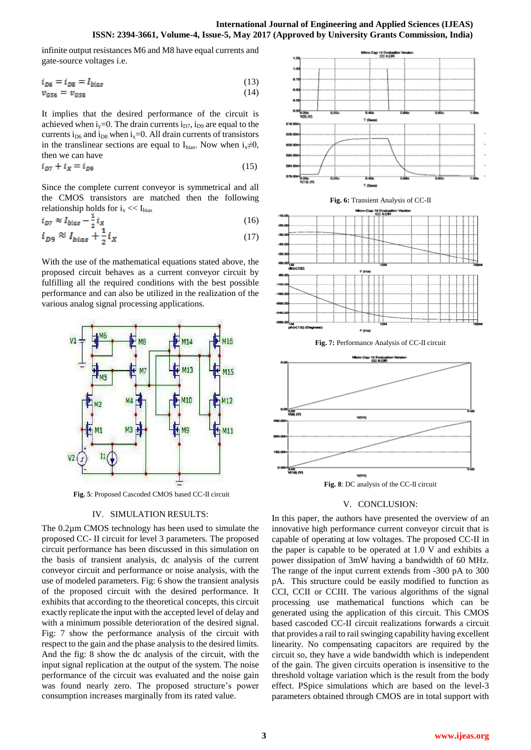infinite output resistances M6 and M8 have equal currents and gate-source voltages i.e.

$$
i_{D6} = i_{D8} = I_{bias} \tag{13}
$$

$$
v_{G56} = v_{G58} \tag{14}
$$

It implies that the desired performance of the circuit is achieved when  $i_v=0$ . The drain currents  $i_{D7}$ ,  $i_{D9}$  are equal to the currents i<sub>D6</sub> and i<sub>D8</sub> when i<sub>x</sub>=0. All drain currents of transistors in the translinear sections are equal to  $I_{bias}$ . Now when  $i_x \neq 0$ , then we can have

$$
i_{D7} + i_X = i_{D9} \tag{15}
$$

Since the complete current conveyor is symmetrical and all the CMOS transistors are matched then the following relationship holds for  $i_x \ll I_{bias}$ 

$$
i_{D7} \approx I_{bias} - \frac{1}{2} i_X \tag{16}
$$

$$
i_{D9} \approx I_{bias} + \frac{1}{2} i_X \tag{17}
$$

With the use of the mathematical equations stated above, the proposed circuit behaves as a current conveyor circuit by fulfilling all the required conditions with the best possible performance and can also be utilized in the realization of the various analog signal processing applications.



**Fig. 5**: Proposed Cascoded CMOS based CC-II circuit

### IV. SIMULATION RESULTS:

The 0.2µm CMOS technology has been used to simulate the proposed CC- II circuit for level 3 parameters. The proposed circuit performance has been discussed in this simulation on the basis of transient analysis, dc analysis of the current conveyor circuit and performance or noise analysis, with the use of modeled parameters. Fig: 6 show the transient analysis of the proposed circuit with the desired performance. It exhibits that according to the theoretical concepts, this circuit exactly replicate the input with the accepted level of delay and with a minimum possible deterioration of the desired signal. Fig: 7 show the performance analysis of the circuit with respect to the gain and the phase analysis to the desired limits. And the fig: 8 show the dc analysis of the circuit, with the input signal replication at the output of the system. The noise performance of the circuit was evaluated and the noise gain was found nearly zero. The proposed structure's power consumption increases marginally from its rated value.



#### V. CONCLUSION:

In this paper, the authors have presented the overview of an innovative high performance current conveyor circuit that is capable of operating at low voltages. The proposed CC-II in the paper is capable to be operated at 1.0 V and exhibits a power dissipation of 3mW having a bandwidth of 60 MHz. The range of the input current extends from -300 pA to 300 pA. This structure could be easily modified to function as CCI, CCII or CCIII. The various algorithms of the signal processing use mathematical functions which can be generated using the application of this circuit. This CMOS based cascoded CC-II circuit realizations forwards a circuit that provides a rail to rail swinging capability having excellent linearity. No compensating capacitors are required by the circuit so, they have a wide bandwidth which is independent of the gain. The given circuits operation is insensitive to the threshold voltage variation which is the result from the body effect. PSpice simulations which are based on the level-3 parameters obtained through CMOS are in total support with